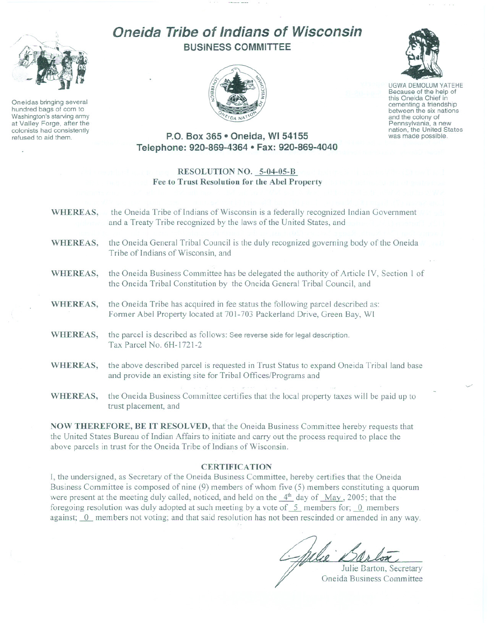

Oneidas bringing several hundred bags of corn to Washington's starving army at Valley Forge, after the colonists had consistently refused to aid them.

# **Oneida Tribe of Indians of Wisconsin BUSINESS COMMITTEE**





UGWA DEMOLUM YATEHE Because of the help of this Oneida Chief in cementing <sup>a</sup> friendship between the six nations and the colony of<br>Pennsylvania, a new nation, the United States was made possible.

## **P.O. Box 365· Oneida, WI 54155 Telephone: 920-869-4364 • Fax: 920-869-4040**

### **RESOLUTION NO. 5-04-05-B**  $Fee$  to Trust Resolution for the Abel Property

- **WHEREAS,** the Oneida Tribe of Indians of Wisconsin is a federally recognized Indian Government and a Treaty Tribe recognized by the laws of the United States, and **WHEREAS,** the Oneida General Tribal Council is the duly recognized governing body of the Oneida Tribe of Indians of Wisconsin, and **WHEREAS,** the Oneida Business Committee has be delegated the authority of Article IV, Section I of the Oneida Tribal Constitution by the Oneida General Tribal Council, and **WHEREAS,** the Oneida Tribe has acquired in fee status the following parcel described as: Former Abel Property located at 701-703 Packerland Drive, Green Bay, WI **WHEREAS,** the parcel is described as follows: See reverse side for legal description. Tax Parcel No. 6H-I721-2 **WHEREAS,** the above described parcel is requested in Trust Status to expand Oneida Tribal land base and provide an existing site for Tribal Offices/Programs and
- **WHEREAS,** the Oneida Business Committee certifies that the local property taxes will be paid up to trust placement, and

**NOW THEREFORE, BE IT RESOLVED,** that the Oneida Business Committee hereby requests that the United States Bureau of Indian Affairs to initiate and carry out the process required to place the above parcels in trust for the Oneida Tribe of Indians of Wisconsin.

#### **CERTIFICATION**

**I,** the undersigned, as Secretary of the Oneida Business Committee, hereby certifies that the Oneida Business Committee is composed of nine (9) members of whom five (5) members constituting a quorum were present at the meeting duly called, noticed, and held on the  $4<sup>th</sup>$  day of May, 2005; that the foregoing resolution was duly adopted at such meeting by a vote of 5 members for; 0 members against; 0 members not voting; and that said resolution has not been rescinded or amended in any way.

Julie Darton, Secretary Oneida Business Committee